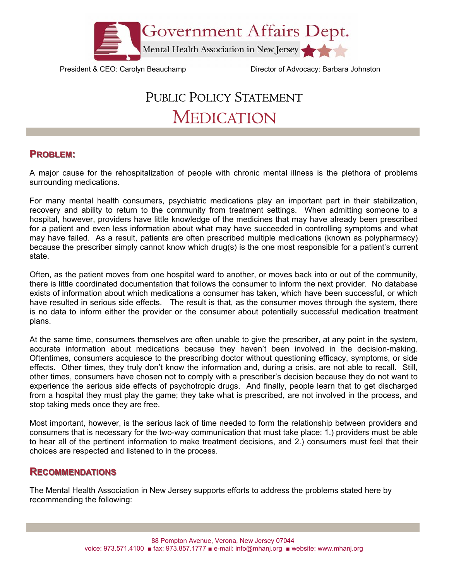

President & CEO: Carolyn Beauchamp Director of Advocacy: Barbara Johnston

## PUBLIC POLICY STATEMENT MEDICATION

## **PROBLEM:**

A major cause for the rehospitalization of people with chronic mental illness is the plethora of problems surrounding medications.

For many mental health consumers, psychiatric medications play an important part in their stabilization, recovery and ability to return to the community from treatment settings. When admitting someone to a hospital, however, providers have little knowledge of the medicines that may have already been prescribed for a patient and even less information about what may have succeeded in controlling symptoms and what may have failed. As a result, patients are often prescribed multiple medications (known as polypharmacy) because the prescriber simply cannot know which drug(s) is the one most responsible for a patient's current state.

Often, as the patient moves from one hospital ward to another, or moves back into or out of the community, there is little coordinated documentation that follows the consumer to inform the next provider. No database exists of information about which medications a consumer has taken, which have been successful, or which have resulted in serious side effects. The result is that, as the consumer moves through the system, there is no data to inform either the provider or the consumer about potentially successful medication treatment plans.

At the same time, consumers themselves are often unable to give the prescriber, at any point in the system, accurate information about medications because they haven't been involved in the decision-making. Oftentimes, consumers acquiesce to the prescribing doctor without questioning efficacy, symptoms, or side effects. Other times, they truly don't know the information and, during a crisis, are not able to recall. Still, other times, consumers have chosen not to comply with a prescriber's decision because they do not want to experience the serious side effects of psychotropic drugs. And finally, people learn that to get discharged from a hospital they must play the game; they take what is prescribed, are not involved in the process, and stop taking meds once they are free.

Most important, however, is the serious lack of time needed to form the relationship between providers and consumers that is necessary for the two-way communication that must take place: 1.) providers must be able to hear all of the pertinent information to make treatment decisions, and 2.) consumers must feel that their choices are respected and listened to in the process.

## **RECOMMENDATIONS ECOMMENDATIONS**

The Mental Health Association in New Jersey supports efforts to address the problems stated here by recommending the following: